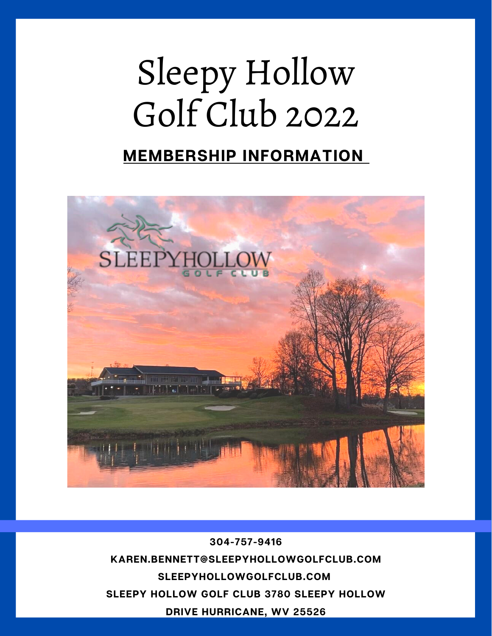# Sleepy Hollow Golf Club 2022

### **MEMBERSHIP INFORMATION**



**304-757-9416 [KAREN.BENNETT@SLEEPYHOLLOWGOLFCLUB.COM](mailto:karen.bennett@sleepyhollowgolfclub.com) SLEEPYHOLLOWGOLFCLUB.COM SLEEPY HOLLOW GOLF CLUB 3780 SLEEPY HOLLOW DRIVE HURRICANE, WV 25526**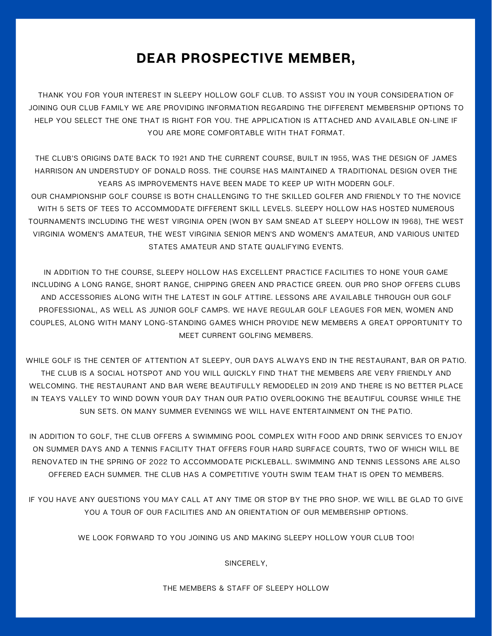#### **DEAR PROSPECTIVE MEMBER,**

THANK YOU FOR YOUR INTEREST IN SLEEPY HOLLOW GOLF CLUB. TO ASSIST YOU IN YOUR CONSIDERATION OF JOINING OUR CLUB FAMILY WE ARE PROVIDING INFORMATION REGARDING THE DIFFERENT MEMBERSHIP OPTIONS TO HELP YOU SELECT THE ONE THAT IS RIGHT FOR YOU. THE APPLICATION IS ATTACHED AND AVAILABLE ON-LINE IF YOU ARE MORE COMFORTABLE WITH THAT FORMAT.

THE CLUB'S ORIGINS DATE BACK TO 1921 AND THE CURRENT COURSE, BUILT IN 1955, WAS THE DESIGN OF JAMES HARRISON AN UNDERSTUDY OF DONALD ROSS. THE COURSE HAS MAINTAINED A TRADITIONAL DESIGN OVER THE YEARS AS IMPROVEMENTS HAVE BEEN MADE TO KEEP UP WITH MODERN GOLF.

OUR CHAMPIONSHIP GOLF COURSE IS BOTH CHALLENGING TO THE SKILLED GOLFER AND FRIENDLY TO THE NOVICE WITH 5 SETS OF TEES TO ACCOMMODATE DIFFERENT SKILL LEVELS. SLEEPY HOLLOW HAS HOSTED NUMEROUS TOURNAMENTS INCLUDING THE WEST VIRGINIA OPEN (WON BY SAM SNEAD AT SLEEPY HOLLOW IN 1968), THE WEST VIRGINIA WOMEN'S AMATEUR, THE WEST VIRGINIA SENIOR MEN'S AND WOMEN'S AMATEUR, AND VARIOUS UNITED STATES AMATEUR AND STATE QUALIFYING EVENTS.

IN ADDITION TO THE COURSE, SLEEPY HOLLOW HAS EXCELLENT PRACTICE FACILITIES TO HONE YOUR GAME INCLUDING A LONG RANGE, SHORT RANGE, CHIPPING GREEN AND PRACTICE GREEN. OUR PRO SHOP OFFERS CLUBS AND ACCESSORIES ALONG WITH THE LATEST IN GOLF ATTIRE. LESSONS ARE AVAILABLE THROUGH OUR GOLF PROFESSIONAL, AS WELL AS JUNIOR GOLF CAMPS. WE HAVE REGULAR GOLF LEAGUES FOR MEN, WOMEN AND COUPLES, ALONG WITH MANY LONG-STANDING GAMES WHICH PROVIDE NEW MEMBERS A GREAT OPPORTUNITY TO MEET CURRENT GOLFING MEMBERS.

WHILE GOLF IS THE CENTER OF ATTENTION AT SLEEPY, OUR DAYS ALWAYS END IN THE RESTAURANT, BAR OR PATIO. THE CLUB IS A SOCIAL HOTSPOT AND YOU WILL QUICKLY FIND THAT THE MEMBERS ARE VERY FRIENDLY AND WELCOMING. THE RESTAURANT AND BAR WERE BEAUTIFULLY REMODELED IN 2019 AND THERE IS NO BETTER PLACE IN TEAYS VALLEY TO WIND DOWN YOUR DAY THAN OUR PATIO OVERLOOKING THE BEAUTIFUL COURSE WHILE THE SUN SETS. ON MANY SUMMER EVENINGS WE WILL HAVE ENTERTAINMENT ON THE PATIO.

IN ADDITION TO GOLF, THE CLUB OFFERS A SWIMMING POOL COMPLEX WITH FOOD AND DRINK SERVICES TO ENJOY ON SUMMER DAYS AND A TENNIS FACILITY THAT OFFERS FOUR HARD SURFACE COURTS, TWO OF WHICH WILL BE RENOVATED IN THE SPRING OF 2022 TO ACCOMMODATE PICKLEBALL. SWIMMING AND TENNIS LESSONS ARE ALSO OFFERED EACH SUMMER. THE CLUB HAS A COMPETITIVE YOUTH SWIM TEAM THAT IS OPEN TO MEMBERS.

IF YOU HAVE ANY QUESTIONS YOU MAY CALL AT ANY TIME OR STOP BY THE PRO SHOP. WE WILL BE GLAD TO GIVE YOU A TOUR OF OUR FACILITIES AND AN ORIENTATION OF OUR MEMBERSHIP OPTIONS.

WE LOOK FORWARD TO YOU JOINING US AND MAKING SLEEPY HOLLOW YOUR CLUB TOO!

SINCERELY,

THE MEMBERS & STAFF OF SLEEPY HOLLOW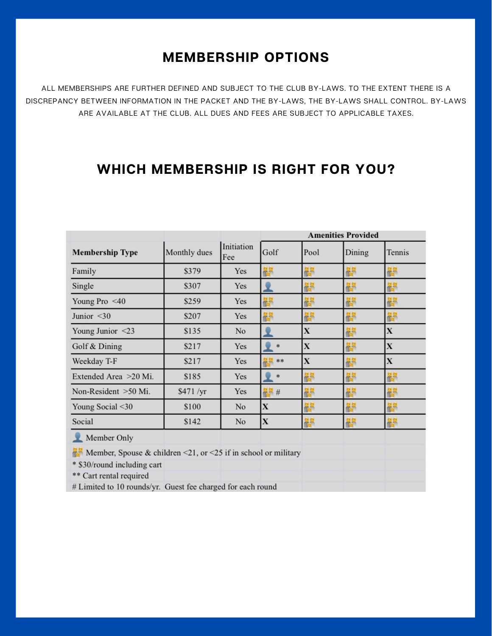#### **MEMBERSHIP OPTIONS**

ALL MEMBERSHIPS ARE FURTHER DEFINED AND SUBJECT TO THE CLUB BY-LAWS. TO THE EXTENT THERE IS A DISCREPANCY BETWEEN INFORMATION IN THE PACKET AND THE BY-LAWS, THE BY-LAWS SHALL CONTROL. BY-LAWS ARE AVAILABLE AT THE CLUB. ALL DUES AND FEES ARE SUBJECT TO APPLICABLE TAXES.

#### **WHICH MEMBERSHIP IS RIGHT FOR YOU?**

|                                                                                 |              |                   | <b>Amenities Provided</b> |             |        |             |  |
|---------------------------------------------------------------------------------|--------------|-------------------|---------------------------|-------------|--------|-------------|--|
| <b>Membership Type</b>                                                          | Monthly dues | Initiation<br>Fee | Golf                      | Pool        | Dining | Tennis      |  |
| Family                                                                          | \$379        | Yes               | 嗧                         | 帶           | 毊      | 鬱           |  |
| Single                                                                          | \$307        | Yes               |                           | 毊           | 馨      | 鬱           |  |
| Young Pro <40                                                                   | \$259        | Yes               | 嗧                         | 嗧           | 醪      | 鬱           |  |
| Junior $<$ 30                                                                   | \$207        | Yes               | 嗧                         | 뿖           | 馨      | 齵           |  |
| Young Junior $\leq$ 23                                                          | \$135        | No                |                           | $\mathbf X$ | 鬱      | X           |  |
| Golf & Dining                                                                   | \$217        | Yes               | *                         | $\mathbf X$ | 馨      | X           |  |
| Weekday T-F                                                                     | \$217        | Yes               | **                        | $\mathbf X$ | 毊      | $\mathbf X$ |  |
| Extended Area >20 Mi.                                                           | \$185        | Yes               | *                         | 嗧           | 闇      | 齵           |  |
| Non-Resident >50 Mi.                                                            | \$471/yr     | Yes               | 5 #                       | 嗧           | 馨      | 齵           |  |
| Young Social <30                                                                | \$100        | No                | X                         | 髜           | 馨      | 馨           |  |
| Social                                                                          | \$142        | No                | $\mathbf X$               | 嗧           | 馨      | 嗧           |  |
| Member Only                                                                     |              |                   |                           |             |        |             |  |
| <b>Example 1</b> Member, Spouse & children <21, or <25 if in school or military |              |                   |                           |             |        |             |  |
| * \$30/round including cart                                                     |              |                   |                           |             |        |             |  |
| ** Cart rental required                                                         |              |                   |                           |             |        |             |  |
| # Limited to 10 rounds/yr. Guest fee charged for each round                     |              |                   |                           |             |        |             |  |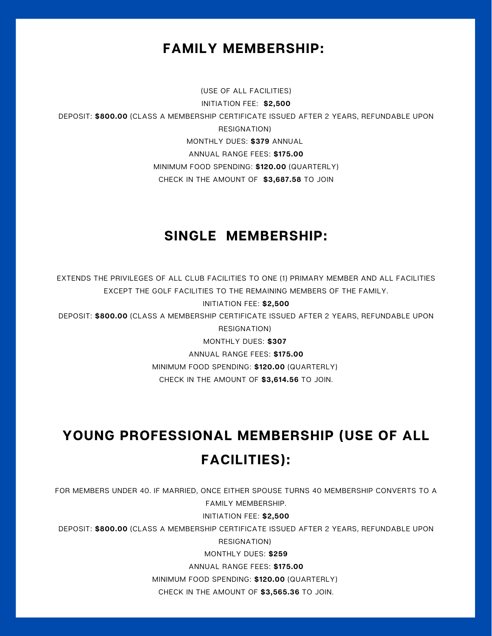#### **FAMILY MEMBERSHIP:**

#### (USE OF ALL FACILITIES)

INITIATION FEE: **\$2,500**

DEPOSIT: **\$800.00** (CLASS A MEMBERSHIP CERTIFICATE ISSUED AFTER 2 YEARS, REFUNDABLE UPON

RESIGNATION)

MONTHLY DUES: **\$379** ANNUAL

ANNUAL RANGE FEES: **\$175.00**

MINIMUM FOOD SPENDING: **\$120.00** (QUARTERLY)

CHECK IN THE AMOUNT OF **\$3,687.58** TO JOIN

#### **SINGLE MEMBERSHIP:**

EXTENDS THE PRIVILEGES OF ALL CLUB FACILITIES TO ONE (1) PRIMARY MEMBER AND ALL FACILITIES EXCEPT THE GOLF FACILITIES TO THE REMAINING MEMBERS OF THE FAMILY.

INITIATION FEE: **\$2,500**

DEPOSIT: **\$800.00** (CLASS A MEMBERSHIP CERTIFICATE ISSUED AFTER 2 YEARS, REFUNDABLE UPON RESIGNATION)

MONTHLY DUES: **\$307**

ANNUAL RANGE FEES: **\$175.00**

MINIMUM FOOD SPENDING: **\$120.00** (QUARTERLY)

CHECK IN THE AMOUNT OF **\$3,614.56** TO JOIN.

## **YOUNG PROFESSIONAL MEMBERSHIP (USE OF ALL FACILITIES):**

FOR MEMBERS UNDER 40. IF MARRIED, ONCE EITHER SPOUSE TURNS 40 MEMBERSHIP CONVERTS TO A FAMILY MEMBERSHIP.

INITIATION FEE: **\$2,500**

DEPOSIT: **\$800.00** (CLASS A MEMBERSHIP CERTIFICATE ISSUED AFTER 2 YEARS, REFUNDABLE UPON

RESIGNATION)

MONTHLY DUES: **\$259**

ANNUAL RANGE FEES: **\$175.00**

MINIMUM FOOD SPENDING: **\$120.00** (QUARTERLY)

CHECK IN THE AMOUNT OF **\$3,565.36** TO JOIN.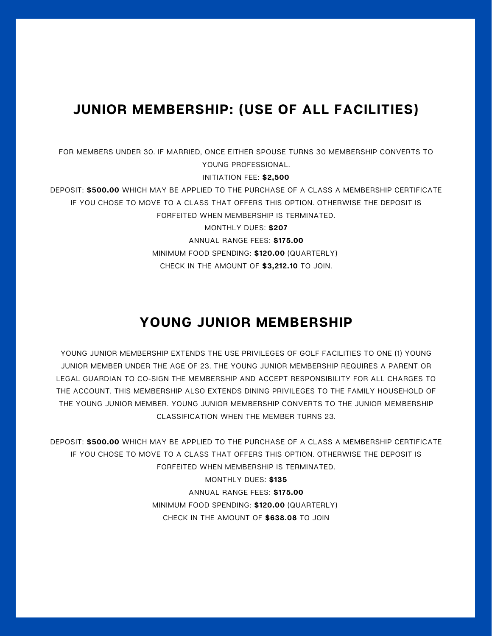#### **JUNIOR MEMBERSHIP: (USE OF ALL FACILITIES)**

FOR MEMBERS UNDER 30. IF MARRIED, ONCE EITHER SPOUSE TURNS 30 MEMBERSHIP CONVERTS TO YOUNG PROFESSIONAL. INITIATION FEE: **\$2,500** DEPOSIT: **\$500.00** WHICH MAY BE APPLIED TO THE PURCHASE OF A CLASS A MEMBERSHIP CERTIFICATE IF YOU CHOSE TO MOVE TO A CLASS THAT OFFERS THIS OPTION. OTHERWISE THE DEPOSIT IS FORFEITED WHEN MEMBERSHIP IS TERMINATED. MONTHLY DUES: **\$207** ANNUAL RANGE FEES: **\$175.00** MINIMUM FOOD SPENDING: **\$120.00** (QUARTERLY) CHECK IN THE AMOUNT OF **\$3,212.10** TO JOIN.

#### **YOUNG JUNIOR MEMBERSHIP**

YOUNG JUNIOR MEMBERSHIP EXTENDS THE USE PRIVILEGES OF GOLF FACILITIES TO ONE (1) YOUNG JUNIOR MEMBER UNDER THE AGE OF 23. THE YOUNG JUNIOR MEMBERSHIP REQUIRES A PARENT OR LEGAL GUARDIAN TO CO-SIGN THE MEMBERSHIP AND ACCEPT RESPONSIBILITY FOR ALL CHARGES TO THE ACCOUNT. THIS MEMBERSHIP ALSO EXTENDS DINING PRIVILEGES TO THE FAMILY HOUSEHOLD OF THE YOUNG JUNIOR MEMBER. YOUNG JUNIOR MEMBERSHIP CONVERTS TO THE JUNIOR MEMBERSHIP CLASSIFICATION WHEN THE MEMBER TURNS 23.

DEPOSIT: **\$500.00** WHICH MAY BE APPLIED TO THE PURCHASE OF A CLASS A MEMBERSHIP CERTIFICATE IF YOU CHOSE TO MOVE TO A CLASS THAT OFFERS THIS OPTION. OTHERWISE THE DEPOSIT IS FORFEITED WHEN MEMBERSHIP IS TERMINATED.

> MONTHLY DUES: **\$135** ANNUAL RANGE FEES: **\$175.00** MINIMUM FOOD SPENDING: **\$120.00** (QUARTERLY) CHECK IN THE AMOUNT OF **\$638.08** TO JOIN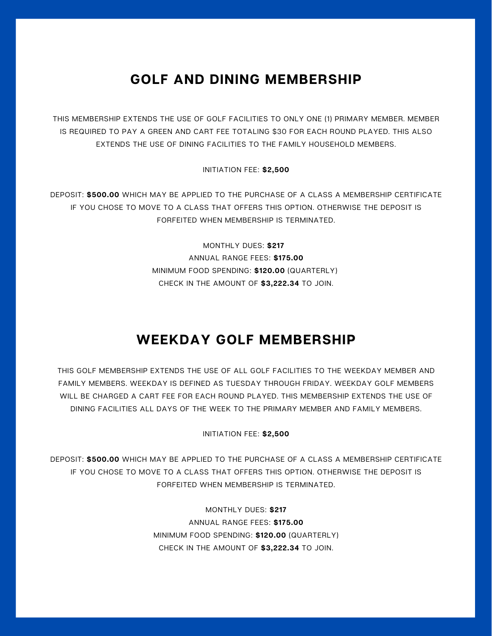#### **GOLF AND DINING MEMBERSHIP**

THIS MEMBERSHIP EXTENDS THE USE OF GOLF FACILITIES TO ONLY ONE (1) PRIMARY MEMBER. MEMBER IS REQUIRED TO PAY A GREEN AND CART FEE TOTALING \$30 FOR EACH ROUND PLAYED. THIS ALSO EXTENDS THE USE OF DINING FACILITIES TO THE FAMILY HOUSEHOLD MEMBERS.

INITIATION FEE: **\$2,500**

DEPOSIT: **\$500.00** WHICH MAY BE APPLIED TO THE PURCHASE OF A CLASS A MEMBERSHIP CERTIFICATE IF YOU CHOSE TO MOVE TO A CLASS THAT OFFERS THIS OPTION. OTHERWISE THE DEPOSIT IS FORFEITED WHEN MEMBERSHIP IS TERMINATED.

> MONTHLY DUES: **\$217** ANNUAL RANGE FEES: **\$175.00** MINIMUM FOOD SPENDING: **\$120.00** (QUARTERLY) CHECK IN THE AMOUNT OF **\$3,222.34** TO JOIN.

#### **WEEKDAY GOLF MEMBERSHIP**

THIS GOLF MEMBERSHIP EXTENDS THE USE OF ALL GOLF FACILITIES TO THE WEEKDAY MEMBER AND FAMILY MEMBERS. WEEKDAY IS DEFINED AS TUESDAY THROUGH FRIDAY. WEEKDAY GOLF MEMBERS WILL BE CHARGED A CART FEE FOR EACH ROUND PLAYED. THIS MEMBERSHIP EXTENDS THE USE OF DINING FACILITIES ALL DAYS OF THE WEEK TO THE PRIMARY MEMBER AND FAMILY MEMBERS.

INITIATION FEE: **\$2,500**

DEPOSIT: **\$500.00** WHICH MAY BE APPLIED TO THE PURCHASE OF A CLASS A MEMBERSHIP CERTIFICATE IF YOU CHOSE TO MOVE TO A CLASS THAT OFFERS THIS OPTION. OTHERWISE THE DEPOSIT IS FORFEITED WHEN MEMBERSHIP IS TERMINATED.

> MONTHLY DUES: **\$217** ANNUAL RANGE FEES: **\$175.00** MINIMUM FOOD SPENDING: **\$120.00** (QUARTERLY) CHECK IN THE AMOUNT OF **\$3,222.34** TO JOIN.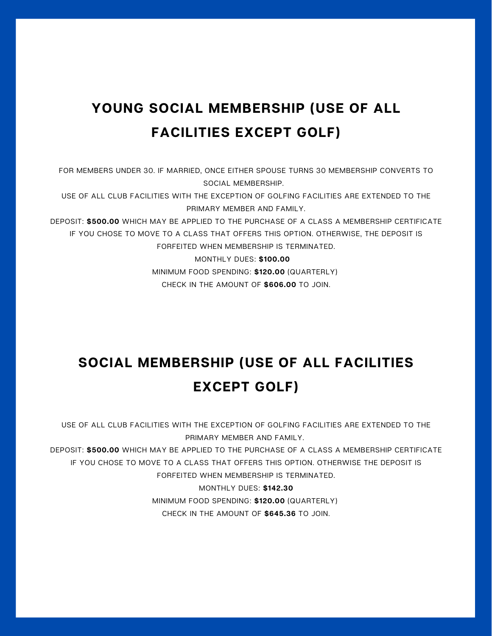## **YOUNG SOCIAL MEMBERSHIP (USE OF ALL FACILITIES EXCEPT GOLF)**

FOR MEMBERS UNDER 30. IF MARRIED, ONCE EITHER SPOUSE TURNS 30 MEMBERSHIP CONVERTS TO SOCIAL MEMBERSHIP.

USE OF ALL CLUB FACILITIES WITH THE EXCEPTION OF GOLFING FACILITIES ARE EXTENDED TO THE PRIMARY MEMBER AND FAMILY.

DEPOSIT: **\$500.00** WHICH MAY BE APPLIED TO THE PURCHASE OF A CLASS A MEMBERSHIP CERTIFICATE IF YOU CHOSE TO MOVE TO A CLASS THAT OFFERS THIS OPTION. OTHERWISE, THE DEPOSIT IS FORFEITED WHEN MEMBERSHIP IS TERMINATED.

> MONTHLY DUES: **\$100.00** MINIMUM FOOD SPENDING: **\$120.00** (QUARTERLY) CHECK IN THE AMOUNT OF **\$606.00** TO JOIN.

## **SOCIAL MEMBERSHIP (USE OF ALL FACILITIES EXCEPT GOLF)**

USE OF ALL CLUB FACILITIES WITH THE EXCEPTION OF GOLFING FACILITIES ARE EXTENDED TO THE PRIMARY MEMBER AND FAMILY.

DEPOSIT: **\$500.00** WHICH MAY BE APPLIED TO THE PURCHASE OF A CLASS A MEMBERSHIP CERTIFICATE IF YOU CHOSE TO MOVE TO A CLASS THAT OFFERS THIS OPTION. OTHERWISE THE DEPOSIT IS FORFEITED WHEN MEMBERSHIP IS TERMINATED.

> MONTHLY DUES: **\$142.30** MINIMUM FOOD SPENDING: **\$120.00** (QUARTERLY) CHECK IN THE AMOUNT OF **\$645.36** TO JOIN.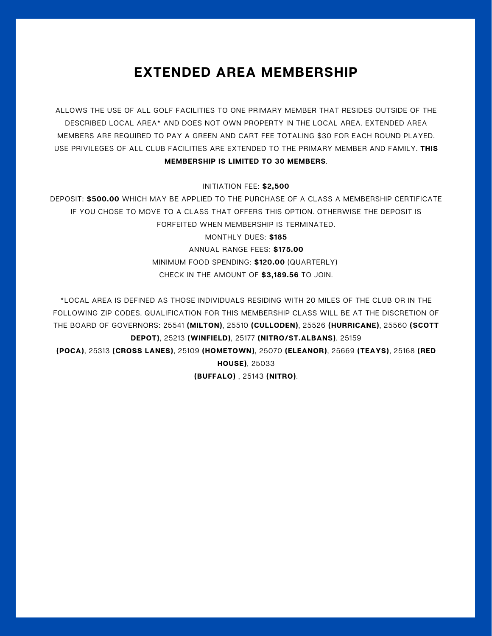#### **EXTENDED AREA MEMBERSHIP**

ALLOWS THE USE OF ALL GOLF FACILITIES TO ONE PRIMARY MEMBER THAT RESIDES OUTSIDE OF THE DESCRIBED LOCAL AREA\* AND DOES NOT OWN PROPERTY IN THE LOCAL AREA. EXTENDED AREA MEMBERS ARE REQUIRED TO PAY A GREEN AND CART FEE TOTALING \$30 FOR EACH ROUND PLAYED. USE PRIVILEGES OF ALL CLUB FACILITIES ARE EXTENDED TO THE PRIMARY MEMBER AND FAMILY. **THIS MEMBERSHIP IS LIMITED TO 30 MEMBERS**.

INITIATION FEE: **\$2,500**

DEPOSIT: **\$500.00** WHICH MAY BE APPLIED TO THE PURCHASE OF A CLASS A MEMBERSHIP CERTIFICATE IF YOU CHOSE TO MOVE TO A CLASS THAT OFFERS THIS OPTION. OTHERWISE THE DEPOSIT IS FORFEITED WHEN MEMBERSHIP IS TERMINATED. MONTHLY DUES: **\$185** ANNUAL RANGE FEES: **\$175.00**

MINIMUM FOOD SPENDING: **\$120.00** (QUARTERLY) CHECK IN THE AMOUNT OF **\$3,189.56** TO JOIN.

\*LOCAL AREA IS DEFINED AS THOSE INDIVIDUALS RESIDING WITH 20 MILES OF THE CLUB OR IN THE FOLLOWING ZIP CODES. QUALIFICATION FOR THIS MEMBERSHIP CLASS WILL BE AT THE DISCRETION OF THE BOARD OF GOVERNORS: 25541 **(MILTON)**, 25510 **(CULLODEN)**, 25526 **(HURRICANE)**, 25560 **(SCOTT DEPOT)**, 25213 **(WINFIELD)**, 25177 **(NITRO/ST.ALBANS)**. 25159 **(POCA)**, 25313 **(CROSS LANES)**, 25109 **(HOMETOWN)**, 25070 **(ELEANOR)**, 25669 **(TEAYS)**, 25168 **(RED HOUSE)**, 25033 **(BUFFALO)** , 25143 **(NITRO)**.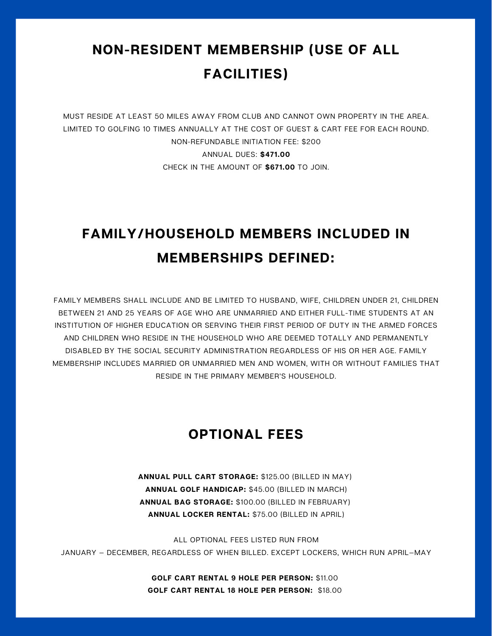## **NON-RESIDENT MEMBERSHIP (USE OF ALL FACILITIES)**

MUST RESIDE AT LEAST 50 MILES AWAY FROM CLUB AND CANNOT OWN PROPERTY IN THE AREA. LIMITED TO GOLFING 10 TIMES ANNUALLY AT THE COST OF GUEST & CART FEE FOR EACH ROUND. NON-REFUNDABLE INITIATION FEE: \$200 ANNUAL DUES: **\$471.00** CHECK IN THE AMOUNT OF **\$671.00** TO JOIN.

## **FAMILY/HOUSEHOLD MEMBERS INCLUDED IN MEMBERSHIPS DEFINED:**

FAMILY MEMBERS SHALL INCLUDE AND BE LIMITED TO HUSBAND, WIFE, CHILDREN UNDER 21, CHILDREN BETWEEN 21 AND 25 YEARS OF AGE WHO ARE UNMARRIED AND EITHER FULL-TIME STUDENTS AT AN INSTITUTION OF HIGHER EDUCATION OR SERVING THEIR FIRST PERIOD OF DUTY IN THE ARMED FORCES AND CHILDREN WHO RESIDE IN THE HOUSEHOLD WHO ARE DEEMED TOTALLY AND PERMANENTLY DISABLED BY THE SOCIAL SECURITY ADMINISTRATION REGARDLESS OF HIS OR HER AGE. FAMILY MEMBERSHIP INCLUDES MARRIED OR UNMARRIED MEN AND WOMEN, WITH OR WITHOUT FAMILIES THAT RESIDE IN THE PRIMARY MEMBER'S HOUSEHOLD.

#### **OPTIONAL FEES**

**ANNUAL PULL CART STORAGE:** \$125.00 (BILLED IN MAY) **ANNUAL GOLF HANDICAP:** \$45.00 (BILLED IN MARCH) **ANNUAL BAG STORAGE:** \$100.00 (BILLED IN FEBRUARY) **ANNUAL LOCKER RENTAL:** \$75.00 (BILLED IN APRIL)

ALL OPTIONAL FEES LISTED RUN FROM JANUARY — DECEMBER, REGARDLESS OF WHEN BILLED. EXCEPT LOCKERS, WHICH RUN APRIL—MAY

> **GOLF CART RENTAL 9 HOLE PER PERSON:** \$11.00 **GOLF CART RENTAL 18 HOLE PER PERSON:** \$18.00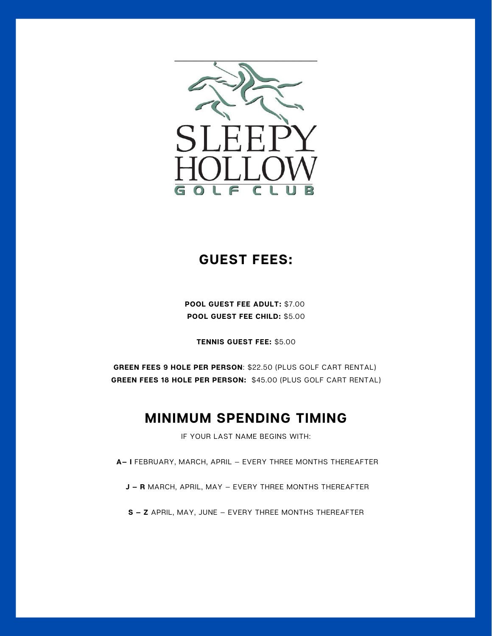

#### **GUEST FEES:**

**POOL GUEST FEE ADULT:** \$7.00 **POOL GUEST FEE CHILD:** \$5.00

**TENNIS GUEST FEE:** \$5.00

**GREEN FEES 9 HOLE PER PERSON**: \$22.50 (PLUS GOLF CART RENTAL) **GREEN FEES 18 HOLE PER PERSON:** \$45.00 (PLUS GOLF CART RENTAL)

#### **MINIMUM SPENDING TIMING**

IF YOUR LAST NAME BEGINS WITH:

**A— I** FEBRUARY, MARCH, APRIL — EVERY THREE MONTHS THEREAFTER

**J — R** MARCH, APRIL, MAY — EVERY THREE MONTHS THEREAFTER

**S — Z** APRIL, MAY, JUNE — EVERY THREE MONTHS THEREAFTER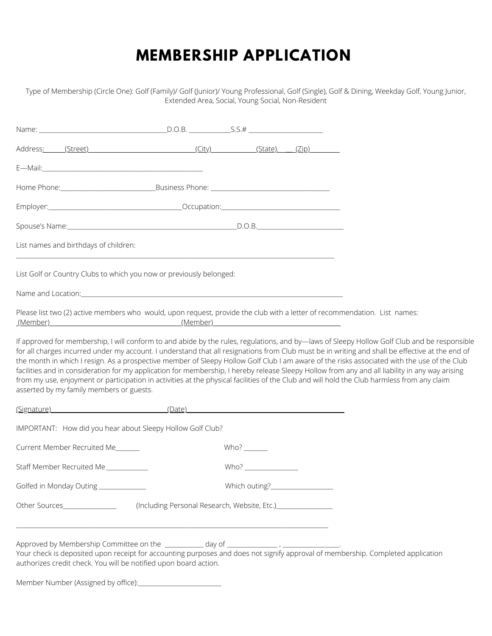## **MEMBERSHIP APPLICATION**

Type of Membership (Circle One): Golf (Family)/ Golf (Junior)/ Young Professional, Golf (Single), Golf & Dining, Weekday Golf, Young Junior, Extended Area, Social, Young Social, Non-Resident

|                                          | Address <u>: (Street)</u> (Street (Street (State), (State), (State), (State), (State), (State), (State), (State), (State), (State), (State), (State), (State), (State), (State), (State), (State), (State), (State), (State), (State |  |                      |  |                                                                                                                                                                                                                                                                                                                                                                                                                                                                                                                                                                                                                                                                                                                                                  |  |  |
|------------------------------------------|--------------------------------------------------------------------------------------------------------------------------------------------------------------------------------------------------------------------------------------|--|----------------------|--|--------------------------------------------------------------------------------------------------------------------------------------------------------------------------------------------------------------------------------------------------------------------------------------------------------------------------------------------------------------------------------------------------------------------------------------------------------------------------------------------------------------------------------------------------------------------------------------------------------------------------------------------------------------------------------------------------------------------------------------------------|--|--|
|                                          |                                                                                                                                                                                                                                      |  |                      |  |                                                                                                                                                                                                                                                                                                                                                                                                                                                                                                                                                                                                                                                                                                                                                  |  |  |
|                                          |                                                                                                                                                                                                                                      |  |                      |  |                                                                                                                                                                                                                                                                                                                                                                                                                                                                                                                                                                                                                                                                                                                                                  |  |  |
|                                          | Employer: 2008 - 2009 - 2009 - 2009 - 2009 - 2009 - 2010 - 2010 - 2010 - 2010 - 2010 - 2010 - 2010 - 2010 - 20                                                                                                                       |  |                      |  |                                                                                                                                                                                                                                                                                                                                                                                                                                                                                                                                                                                                                                                                                                                                                  |  |  |
|                                          |                                                                                                                                                                                                                                      |  |                      |  |                                                                                                                                                                                                                                                                                                                                                                                                                                                                                                                                                                                                                                                                                                                                                  |  |  |
| List names and birthdays of children:    |                                                                                                                                                                                                                                      |  |                      |  |                                                                                                                                                                                                                                                                                                                                                                                                                                                                                                                                                                                                                                                                                                                                                  |  |  |
|                                          | List Golf or Country Clubs to which you now or previously belonged:                                                                                                                                                                  |  |                      |  |                                                                                                                                                                                                                                                                                                                                                                                                                                                                                                                                                                                                                                                                                                                                                  |  |  |
|                                          | Name and Location: <b>All Accepts and Location</b> Control Control Control Control Control Control Control Control Cont                                                                                                              |  |                      |  |                                                                                                                                                                                                                                                                                                                                                                                                                                                                                                                                                                                                                                                                                                                                                  |  |  |
|                                          | <u>(Member) (Member) (Member) (Member) (Member) (Member) (Member) (Member) (Member) (Member) (Member) (Member) (Member) (Member) (Member) (Member) (Member) (Member) (Member) (Member) (Member) (Member) (Member) (Member) (Memb</u> |  |                      |  | Please list two (2) active members who would, upon request, provide the club with a letter of recommendation. List names:                                                                                                                                                                                                                                                                                                                                                                                                                                                                                                                                                                                                                        |  |  |
| asserted by my family members or guests. |                                                                                                                                                                                                                                      |  |                      |  | If approved for membership, I will conform to and abide by the rules, regulations, and by-laws of Sleepy Hollow Golf Club and be responsible<br>for all charges incurred under my account. I understand that all resignations from Club must be in writing and shall be effective at the end of<br>the month in which I resign. As a prospective member of Sleepy Hollow Golf Club I am aware of the risks associated with the use of the Club<br>facilities and in consideration for my application for membership, I hereby release Sleepy Hollow from any and all liability in any way arising<br>from my use, enjoyment or participation in activities at the physical facilities of the Club and will hold the Club harmless from any claim |  |  |
|                                          | <u>(Signature)</u> (Date) (Date)                                                                                                                                                                                                     |  |                      |  |                                                                                                                                                                                                                                                                                                                                                                                                                                                                                                                                                                                                                                                                                                                                                  |  |  |
|                                          | IMPORTANT: How did you hear about Sleepy Hollow Golf Club?                                                                                                                                                                           |  |                      |  |                                                                                                                                                                                                                                                                                                                                                                                                                                                                                                                                                                                                                                                                                                                                                  |  |  |
| Current Member Recruited Me              |                                                                                                                                                                                                                                      |  |                      |  |                                                                                                                                                                                                                                                                                                                                                                                                                                                                                                                                                                                                                                                                                                                                                  |  |  |
| Staff Member Recruited Me                |                                                                                                                                                                                                                                      |  | Who? $\qquad \qquad$ |  |                                                                                                                                                                                                                                                                                                                                                                                                                                                                                                                                                                                                                                                                                                                                                  |  |  |
| Golfed in Monday Outing __________       |                                                                                                                                                                                                                                      |  |                      |  |                                                                                                                                                                                                                                                                                                                                                                                                                                                                                                                                                                                                                                                                                                                                                  |  |  |
| Other Sources________________            | (Including Personal Research, Website, Etc.) [19] [2010]                                                                                                                                                                             |  |                      |  |                                                                                                                                                                                                                                                                                                                                                                                                                                                                                                                                                                                                                                                                                                                                                  |  |  |
|                                          | authorizes credit check. You will be notified upon board action.                                                                                                                                                                     |  |                      |  | Your check is deposited upon receipt for accounting purposes and does not signify approval of membership. Completed application                                                                                                                                                                                                                                                                                                                                                                                                                                                                                                                                                                                                                  |  |  |

Member Number (Assigned by office):